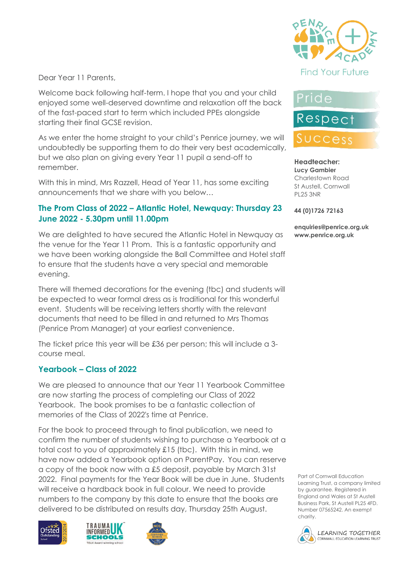

Dear Year 11 Parents,

Welcome back following half-term. I hope that you and your child enjoyed some well-deserved downtime and relaxation off the back of the fast-paced start to term which included PPEs alongside starting their final GCSE revision.

As we enter the home straight to your child's Penrice journey, we will undoubtedly be supporting them to do their very best academically, but we also plan on giving every Year 11 pupil a send-off to remember.

With this in mind, Mrs Razzell, Head of Year 11, has some exciting announcements that we share with you below…

#### **The Prom Class of 2022 – Atlantic Hotel, Newquay: Thursday 23 June 2022 - 5.30pm until 11.00pm**

We are delighted to have secured the Atlantic Hotel in Newquay as the venue for the Year 11 Prom. This is a fantastic opportunity and we have been working alongside the Ball Committee and Hotel staff to ensure that the students have a very special and memorable evening.

There will themed decorations for the evening (tbc) and students will be expected to wear formal dress as is traditional for this wonderful event. Students will be receiving letters shortly with the relevant documents that need to be filled in and returned to Mrs Thomas (Penrice Prom Manager) at your earliest convenience.

The ticket price this year will be £36 per person; this will include a 3 course meal.

#### **Yearbook – Class of 2022**

We are pleased to announce that our Year 11 Yearbook Committee are now starting the process of completing our Class of 2022 Yearbook. The book promises to be a fantastic collection of memories of the Class of 2022's time at Penrice.

For the book to proceed through to final publication, we need to confirm the number of students wishing to purchase a Yearbook at a total cost to you of approximately £15 (tbc). With this in mind, we have now added a Yearbook option on ParentPay. You can reserve a copy of the book now with a £5 deposit, payable by March 31st 2022. Final payments for the Year Book will be due in June. Students will receive a hardback book in full colour. We need to provide numbers to the company by this date to ensure that the books are delivered to be distributed on results day, Thursday 25th August.







# Pride

**Respect** 

# SUCCess

**Headteacher: Lucy Gambier** Charlestown Road St Austell, Cornwall PL25 3NR

**44 (0)1726 72163**

**enquiries@penrice.org.uk www.penrice.org.uk**

Part of Cornwall Education Learning Trust, a company limited by guarantee. Registered in England and Wales at St Austell Business Park, St Austell PL25 4FD. Number 07565242. An exempt charity.

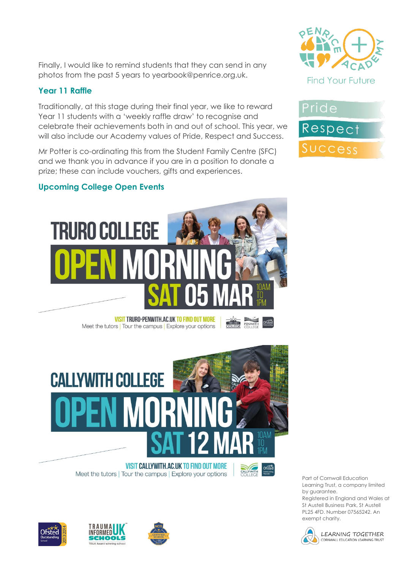Finally, I would like to remind students that they can send in any photos from the past 5 years to yearbook@penrice.org.uk.

# **Year 11 Raffle**

Traditionally, at this stage during their final year, we like to reward Year 11 students with a 'weekly raffle draw' to recognise and celebrate their achievements both in and out of school. This year, we will also include our Academy values of Pride, Respect and Success.

Mr Potter is co-ordinating this from the Student Family Centre (SFC) and we thank you in advance if you are in a position to donate a prize; these can include vouchers, gifts and experiences.





**VISIT TRURO-PENWITH.AC.UK TO FIND OUT MORE** Meet the tutors | Tour the campus | Explore your options



#### **VISIT CALLYWITH.AC.UK TO FIND OUT MORE** Meet the tutors | Tour the campus | Explore your options



**TRURO** 

PENWITH

Part of Cornwall Education Learning Trust, a company limited by guarantee.

Registered in England and Wales at St Austell Business Park, St Austell PL25 4FD. Number 07565242. An exempt charity.